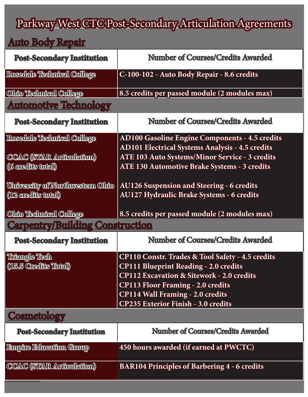# Parkway West CTC Post-Secondary Articulation Agreements

#### Auto Body Repair

| <b>Post-Secondary Institution</b>      | <b>Number of Courses/Credits Awarded</b>                    |
|----------------------------------------|-------------------------------------------------------------|
| Rossdale Technical College             | C-100-102 - Auto Body Repair - 8.6 credits                  |
| Ohio Technical College                 | 8.5 credits per passed module (2 modules max)               |
| <b>Automotive Technology</b>           |                                                             |
| <b>Post-Secondary Institution</b>      | <b>Number of Courses/Credits Awarded</b>                    |
| Rosedale Technical College             | <b>AD100 Gasoline Engine Components - 4.5 credits</b>       |
|                                        | <b>AD101 Electrical Systems Analysis - 4.5 credits</b>      |
| <b>CCAC (STAR Articulation)</b>        | <b>ATE 103 Auto Systems/Minor Service - 3 credits</b>       |
| ((6 credits total)                     | <b>ATE 130 Automotive Brake Systems - 3 credits</b>         |
|                                        |                                                             |
| <u>University of Northwestern Ohio</u> | <b>AU126 Suspension and Steering - 6 credits</b>            |
| (12 credits total)                     | <b>AU127 Hydraulic Brake Systems - 6 credits</b>            |
| Ohio Technical College                 | 8.5 credits per passed module (2 modules max)               |
| <b>Carpentry/Building Construction</b> |                                                             |
| <b>Post-Secondary Institution</b>      | <b>Number of Courses/Credits Awarded</b>                    |
| Thangle Tech                           | <b>CP110 Constr. Trades &amp; Tool Safety - 4.5 credits</b> |
| (15.5 Gredhe Total)                    | <b>CP111 Blueprint Reading - 2.0 credits</b>                |
|                                        | <b>CP112 Excavation &amp; Sitework - 2.0 credits</b>        |
|                                        | <b>CP113 Floor Framing - 2.0 credits</b>                    |
|                                        | <b>CP114 Wall Framing - 2.0 credits</b>                     |
|                                        | <b>CP235 Exterior Finish - 3.0 credits</b>                  |
| <b>Cosmetology</b>                     |                                                             |
| <b>Post-Secondary Institution</b>      | <b>Number of Courses/Credits Awarded</b>                    |
| <b>Binphe Education Group</b>          | 450 hours awarded (if earned at PWCTC)                      |
| CCAC (STAR Articulation)               | <b>BAR104 Principles of Barbering 4 - 6 credits</b>         |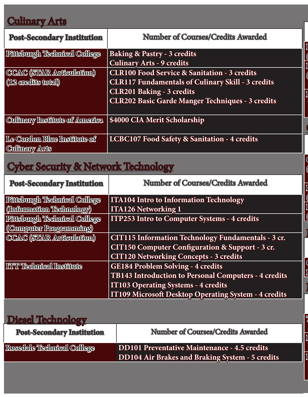## Culinary Arts

| <b>Post-Secondary Institution</b>  | <b>Number of Courses/Credits Awarded</b>                 |
|------------------------------------|----------------------------------------------------------|
| <b>Phishurgh Technical College</b> | <b>Baking &amp; Pastry - 3 credits</b>                   |
|                                    | <b>Culinary Arts - 9 credits</b>                         |
| CCAC (STAR Articulation)           | <b>CLR100 Food Service &amp; Sanitation - 3 credits</b>  |
| (12 credits total)                 | <b>CLR117 Fundamentals of Culinary Skill - 3 credits</b> |
|                                    | <b>CLR201 Baking - 3 credits</b>                         |
|                                    | <b>CLR202 Basic Garde Manger Techniques - 3 credits</b>  |
|                                    |                                                          |
| Cultmary Institute of America      | \$4000 CIA Merit Scholarship                             |
| Le Cordon Blue Institute of        | LCBC107 Food Safety & Sanitation - 4 credits             |
| <b>Cultnary Arts</b>               |                                                          |

**Pittsburgh Technical College (Smart Building Technology) Pittsburgh Technical College**

**Rosedale Technical College ED103 Construction Wiring - 2.5 credits**

**CCAC (STAR Articulation) Nursing & Allied Health Programs - 3 credits**

**Triangle Tech, Inc. Credit for advanced standing placement tests scored at** 

**Pittsburgh Technical College HVA108 Fundamentals of Electricity - 5 credits**

**Rosedale Technical College H101 Refrigeration Principles - 4.5 credits**

**Pittsburgh Technical College MED111 Clinical Techniques 1 - 4 credits**

 $\mathbf 0$ 

 $\overline{\phantom{a}}$ 

**(Electrician Technology)**

 $\overline{a}$ 

**Pittsburgh Technical College**

**Pittsburgh Technical College**

**(Graphic Design Program)**

**(Multimedia Technologies)**

**(9 credits total)**

 $\overline{\phantom{a}}$ 

## Cyber Security & Network Technology

| <b>Post-Secondary Institution</b>  | <b>Number of Courses/Credits Awarded</b>             |
|------------------------------------|------------------------------------------------------|
| <b>Phishurgh Technical College</b> | <b>ITA104 Intro to Information Technology</b>        |
| (Information Technology)           | <b>ITA126 Networking 1</b>                           |
| Pittsburgh Technical College       | <b>ITP253 Intro to Computer Systems - 4 credits</b>  |
| (Computer Programming)             |                                                      |
| CCAC (STAIR Articulation)          | CIT115 Information Technology Fundamentals - 3 cr.   |
|                                    | CIT150 Computer Configuration & Support - 3 cr.      |
|                                    | <b>CIT120 Networking Concepts - 3 credits</b>        |
| <b>ITT Technical Institute</b>     | <b>GE184 Problem Solving - 4 credits</b>             |
|                                    | TB143 Introduction to Personal Computers - 4 credits |
|                                    | <b>IT103 Operating Systems - 4 credits</b>           |
|                                    | IT109 Microsoft Desktop Operating System - 4 credits |

## Diesel Technology

| <b>Post-Secondary Institution</b> | <b>Number of Courses/Credits Awarded</b>               |
|-----------------------------------|--------------------------------------------------------|
| Rossdale Technical College        | DD101 Preventative Maintenance - 4.5 credits           |
|                                   | <b>DD104 Air Brakes and Braking System - 5 credits</b> |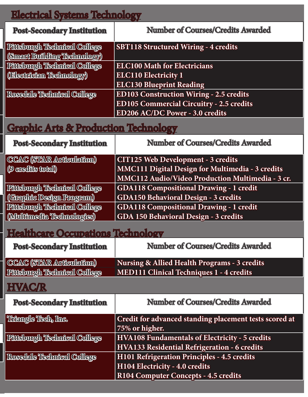### Electrical Systems Technology

| <b>Post-Secondary Institution</b> | <b>Number of Courses/Credits Awarded</b>        |
|-----------------------------------|-------------------------------------------------|
| Phisburgh Technical College       | <b>SBT118 Structured Wiring - 4 credits</b>     |
| (Smart Building Technology)       |                                                 |
| Pittsburgh Technical College      | <b>ELC100 Math for Electricians</b>             |
| (Blectrickn Technology)           | <b>ELC110 Electricity 1</b>                     |
|                                   | <b>ELC130 Blueprint Reading</b>                 |
| Rossdale Technical College        | <b>ED103 Construction Wiring - 2.5 credits</b>  |
|                                   | <b>ED105 Commercial Circuitry - 2.5 credits</b> |
|                                   | ED206 AC/DC Power - 3.0 credits                 |

## Graphic Arts & Production Technology

| <b>Post-Secondary Institution</b> | <b>Number of Courses/Credits Awarded</b>         |
|-----------------------------------|--------------------------------------------------|
| CCAC (STAR Articulation)          | <b>CIT125 Web Development - 3 credits</b>        |
| (9 credits total)                 | MMC111 Digital Design for Multimedia - 3 credits |
|                                   | MMC112 Audio/Video Production Multimedia - 3 cr. |
| Phisburgh Technical College       | <b>GDA118 Compositional Drawing - 1 credit</b>   |
| (Graphic Design Program)          | GDA150 Behavioral Design - 3 credits             |
| Phisburgh Technical College       | <b>GDA118 Compositional Drawing - 1 credit</b>   |
| (Multimedia Technologies)         | GDA 150 Behavioral Design - 3 credits            |

### Healthcare Occupations Technology

| <b>Post-Secondary Institution</b> | <b>Number of Courses/Credits Awarded</b>        |
|-----------------------------------|-------------------------------------------------|
| CCAC (STAR Articulation)          | Nursing & Allied Health Programs - 3 credits    |
| Pfftsburgh Technical College      | <b>MED111 Clinical Techniques 1 - 4 credits</b> |

### **HVAC/R**

| <b>Post-Secondary Institution</b> | <b>Number of Courses/Credits Awarded</b>               |
|-----------------------------------|--------------------------------------------------------|
| Theingle Tech, Inc.               | Credit for advanced standing placement tests scored at |
|                                   | 75% or higher.                                         |
| Pittsburgh Technical College      | <b>HVA108 Fundamentals of Electricity - 5 credits</b>  |
|                                   | HVA133 Residential Refrigeration - 6 credits           |
| Rosedale Technical College        | H101 Refrigeration Principles - 4.5 credits            |
|                                   | H104 Electricity - 4.0 credits                         |
|                                   | R104 Computer Concepts - 4.5 credits                   |